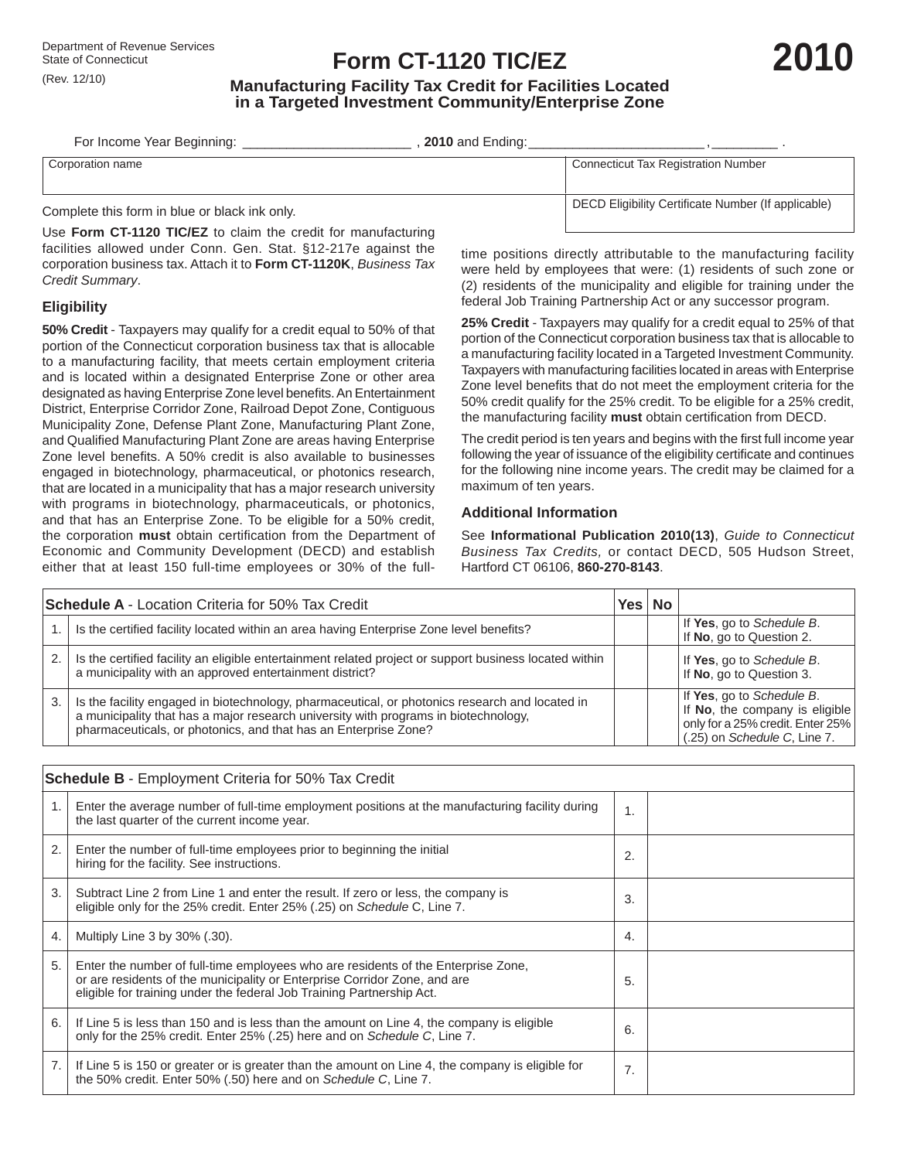## **Form CT-1120 TIC/EZ**

# **2010**

### **Manufacturing Facility Tax Credit for Facilities Located in a Targeted Investment Community/Enterprise Zone**

| For Income Year Beginning:                                                         | <b>2010</b> and Ending:                             |
|------------------------------------------------------------------------------------|-----------------------------------------------------|
| Corporation name                                                                   | Connecticut Tax Registration Number                 |
| O change that could be the many form to the common to be considered by the control | DECD Eligibility Certificate Number (If applicable) |

Complete this form in blue or black ink only.

Use **Form CT-1120 TIC/EZ** to claim the credit for manufacturing facilities allowed under Conn. Gen. Stat. §12-217e against the corporation business tax. Attach it to **Form CT-1120K**, *Business Tax Credit Summary*.

#### **Eligibility**

**50% Credit** - Taxpayers may qualify for a credit equal to 50% of that portion of the Connecticut corporation business tax that is allocable to a manufacturing facility, that meets certain employment criteria and is located within a designated Enterprise Zone or other area designated as having Enterprise Zone level benefits. An Entertainment District, Enterprise Corridor Zone, Railroad Depot Zone, Contiguous Municipality Zone, Defense Plant Zone, Manufacturing Plant Zone, and Qualified Manufacturing Plant Zone are areas having Enterprise Zone level benefits. A 50% credit is also available to businesses engaged in biotechnology, pharmaceutical, or photonics research, that are located in a municipality that has a major research university with programs in biotechnology, pharmaceuticals, or photonics, and that has an Enterprise Zone. To be eligible for a 50% credit, the corporation must obtain certification from the Department of Economic and Community Development (DECD) and establish either that at least 150 full-time employees or 30% of the fulltime positions directly attributable to the manufacturing facility were held by employees that were: (1) residents of such zone or (2) residents of the municipality and eligible for training under the federal Job Training Partnership Act or any successor program.

**25% Credit** - Taxpayers may qualify for a credit equal to 25% of that portion of the Connecticut corporation business tax that is allocable to a manufacturing facility located in a Targeted Investment Community. Taxpayers with manufacturing facilities located in areas with Enterprise Zone level benefits that do not meet the employment criteria for the 50% credit qualify for the 25% credit. To be eligible for a 25% credit, the manufacturing facility must obtain certification from DECD.

The credit period is ten years and begins with the first full income year following the year of issuance of the eligibility certificate and continues for the following nine income years. The credit may be claimed for a maximum of ten years.

#### **Additional Information**

See **Informational Publication 2010(13)**, *Guide to Connecticut Business Tax Credits,* or contact DECD, 505 Hudson Street, Hartford CT 06106, **860-270-8143**.

| <b>Schedule A</b> - Location Criteria for 50% Tax Credit |                                                                                                                                                                                                                                                          |  |  |                                                                                                                                 |
|----------------------------------------------------------|----------------------------------------------------------------------------------------------------------------------------------------------------------------------------------------------------------------------------------------------------------|--|--|---------------------------------------------------------------------------------------------------------------------------------|
|                                                          | Is the certified facility located within an area having Enterprise Zone level benefits?                                                                                                                                                                  |  |  | If Yes, go to Schedule B.<br>If No, go to Question 2.                                                                           |
| 2.                                                       | Is the certified facility an eligible entertainment related project or support business located within<br>a municipality with an approved entertainment district?                                                                                        |  |  | If Yes, go to Schedule B.<br>If No, go to Question 3.                                                                           |
| 3.                                                       | Is the facility engaged in biotechnology, pharmaceutical, or photonics research and located in<br>a municipality that has a major research university with programs in biotechnology,<br>pharmaceuticals, or photonics, and that has an Enterprise Zone? |  |  | If Yes, go to Schedule B.<br>If No, the company is eligible<br>only for a 25% credit. Enter 25%<br>(.25) on Schedule C, Line 7. |

| <b>Schedule B</b> - Employment Criteria for 50% Tax Credit |                                                                                                                                                                                                                                         |    |  |  |  |  |
|------------------------------------------------------------|-----------------------------------------------------------------------------------------------------------------------------------------------------------------------------------------------------------------------------------------|----|--|--|--|--|
| 1.                                                         | Enter the average number of full-time employment positions at the manufacturing facility during<br>the last quarter of the current income year.                                                                                         | 1. |  |  |  |  |
| 2.                                                         | Enter the number of full-time employees prior to beginning the initial<br>hiring for the facility. See instructions.                                                                                                                    | 2. |  |  |  |  |
| 3.                                                         | Subtract Line 2 from Line 1 and enter the result. If zero or less, the company is<br>eligible only for the 25% credit. Enter 25% (.25) on Schedule C, Line 7.                                                                           | 3. |  |  |  |  |
| 4.                                                         | Multiply Line 3 by 30% (.30).                                                                                                                                                                                                           | 4. |  |  |  |  |
| 5.                                                         | Enter the number of full-time employees who are residents of the Enterprise Zone,<br>or are residents of the municipality or Enterprise Corridor Zone, and are<br>eligible for training under the federal Job Training Partnership Act. | 5. |  |  |  |  |
| 6.                                                         | If Line 5 is less than 150 and is less than the amount on Line 4, the company is eligible<br>only for the 25% credit. Enter 25% (.25) here and on Schedule C, Line 7.                                                                   | 6. |  |  |  |  |
| 7.                                                         | If Line 5 is 150 or greater or is greater than the amount on Line 4, the company is eligible for<br>the 50% credit. Enter 50% (.50) here and on Schedule C, Line 7.                                                                     | 7. |  |  |  |  |